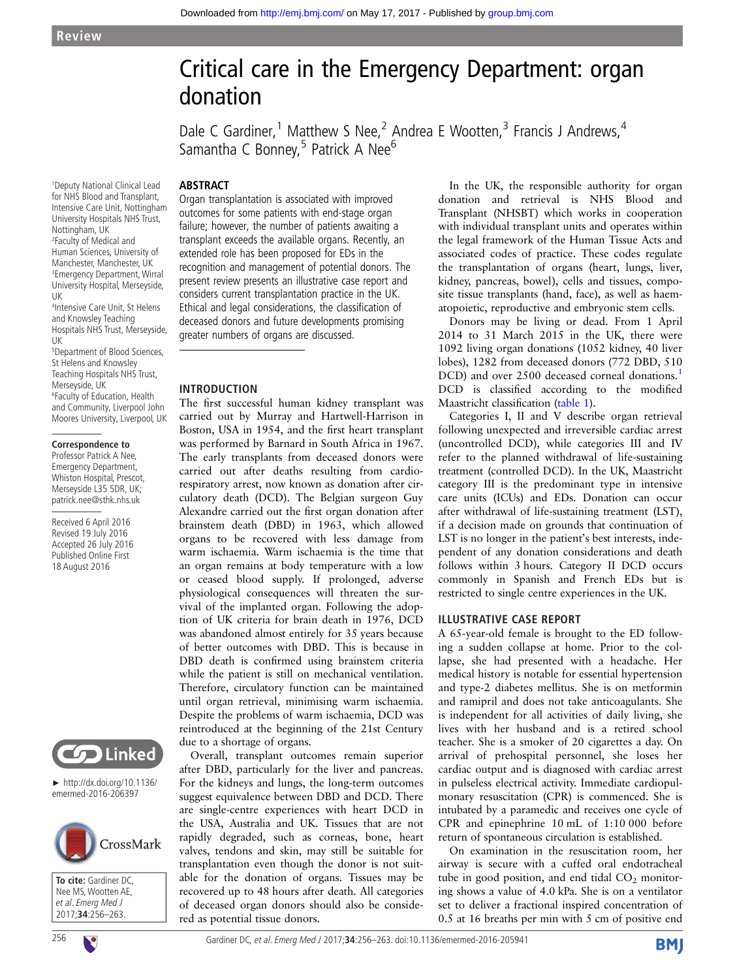# Critical care in the Emergency Department: organ donation

Dale C Gardiner,<sup>1</sup> Matthew S Nee,<sup>2</sup> Andrea E Wootten,<sup>3</sup> Francis J Andrews,<sup>4</sup> Samantha C Bonney,  $5$  Patrick A Nee<sup>6</sup>

#### ABSTRACT

1 Deputy National Clinical Lead for NHS Blood and Transplant, Intensive Care Unit, Nottingham University Hospitals NHS Trust, Nottingham, UK 2 Faculty of Medical and Human Sciences, University of Manchester, Manchester, UK 3 Emergency Department, Wirral University Hospital, Merseyside,

UK 4 Intensive Care Unit, St Helens and Knowsley Teaching Hospitals NHS Trust, Merseyside,

UK 5 Department of Blood Sciences, St Helens and Knowsley Teaching Hospitals NHS Trust. Merseyside, UK 6 Faculty of Education, Health

and Community, Liverpool John Moores University, Liverpool, UK

#### **Correspondence to**

Professor Patrick A Nee, Emergency Department, Whiston Hospital, Prescot, Merseyside L35 5DR, UK; patrick.nee@sthk.nhs.uk

Received 6 April 2016 Revised 19 July 2016 Accepted 26 July 2016 Published Online First 18 August 2016



► http://dx.doi.org/10.1136/ emermed-2016-206397



**To cite:** Gardiner DC, Nee MS, Wootten AE, et al. Emerg Med J 2017;**34**:256–263.

Organ transplantation is associated with improved outcomes for some patients with end-stage organ failure; however, the number of patients awaiting a transplant exceeds the available organs. Recently, an extended role has been proposed for EDs in the recognition and management of potential donors. The present review presents an illustrative case report and considers current transplantation practice in the UK. Ethical and legal considerations, the classification of deceased donors and future developments promising greater numbers of organs are discussed.

#### INTRODUCTION

The first successful human kidney transplant was carried out by Murray and Hartwell-Harrison in Boston, USA in 1954, and the first heart transplant was performed by Barnard in South Africa in 1967. The early transplants from deceased donors were carried out after deaths resulting from cardiorespiratory arrest, now known as donation after circulatory death (DCD). The Belgian surgeon Guy Alexandre carried out the first organ donation after brainstem death (DBD) in 1963, which allowed organs to be recovered with less damage from warm ischaemia. Warm ischaemia is the time that an organ remains at body temperature with a low or ceased blood supply. If prolonged, adverse physiological consequences will threaten the survival of the implanted organ. Following the adoption of UK criteria for brain death in 1976, DCD was abandoned almost entirely for 35 years because of better outcomes with DBD. This is because in DBD death is confirmed using brainstem criteria while the patient is still on mechanical ventilation. Therefore, circulatory function can be maintained until organ retrieval, minimising warm ischaemia. Despite the problems of warm ischaemia, DCD was reintroduced at the beginning of the 21st Century due to a shortage of organs.

Overall, transplant outcomes remain superior after DBD, particularly for the liver and pancreas. For the kidneys and lungs, the long-term outcomes suggest equivalence between DBD and DCD. There are single-centre experiences with heart DCD in the USA, Australia and UK. Tissues that are not rapidly degraded, such as corneas, bone, heart valves, tendons and skin, may still be suitable for transplantation even though the donor is not suitable for the donation of organs. Tissues may be recovered up to 48 hours after death. All categories of deceased organ donors should also be considered as potential tissue donors.

In the UK, the responsible authority for organ donation and retrieval is NHS Blood and Transplant (NHSBT) which works in cooperation with individual transplant units and operates within the legal framework of the Human Tissue Acts and associated codes of practice. These codes regulate the transplantation of organs (heart, lungs, liver, kidney, pancreas, bowel), cells and tissues, composite tissue transplants (hand, face), as well as haematopoietic, reproductive and embryonic stem cells.

Donors may be living or dead. From 1 April 2014 to 31 March 2015 in the UK, there were 1092 living organ donations (1052 kidney, 40 liver lobes), 1282 from deceased donors (772 DBD, 510 DCD) and over 2500 deceased corneal donations.<sup>[1](#page-7-0)</sup> DCD is classified according to the modified Maastricht classification ([table 1\)](#page-1-0).

Categories I, II and V describe organ retrieval following unexpected and irreversible cardiac arrest (uncontrolled DCD), while categories III and IV refer to the planned withdrawal of life-sustaining treatment (controlled DCD). In the UK, Maastricht category III is the predominant type in intensive care units (ICUs) and EDs. Donation can occur after withdrawal of life-sustaining treatment (LST), if a decision made on grounds that continuation of LST is no longer in the patient's best interests, independent of any donation considerations and death follows within 3 hours. Category II DCD occurs commonly in Spanish and French EDs but is restricted to single centre experiences in the UK.

#### ILLUSTRATIVE CASE REPORT

A 65-year-old female is brought to the ED following a sudden collapse at home. Prior to the collapse, she had presented with a headache. Her medical history is notable for essential hypertension and type-2 diabetes mellitus. She is on metformin and ramipril and does not take anticoagulants. She is independent for all activities of daily living, she lives with her husband and is a retired school teacher. She is a smoker of 20 cigarettes a day. On arrival of prehospital personnel, she loses her cardiac output and is diagnosed with cardiac arrest in pulseless electrical activity. Immediate cardiopulmonary resuscitation (CPR) is commenced. She is intubated by a paramedic and receives one cycle of CPR and epinephrine 10 mL of 1:10 000 before return of spontaneous circulation is established.

On examination in the resuscitation room, her airway is secure with a cuffed oral endotracheal tube in good position, and end tidal  $CO<sub>2</sub>$  monitoring shows a value of 4.0 kPa. She is on a ventilator set to deliver a fractional inspired concentration of 0.5 at 16 breaths per min with 5 cm of positive end

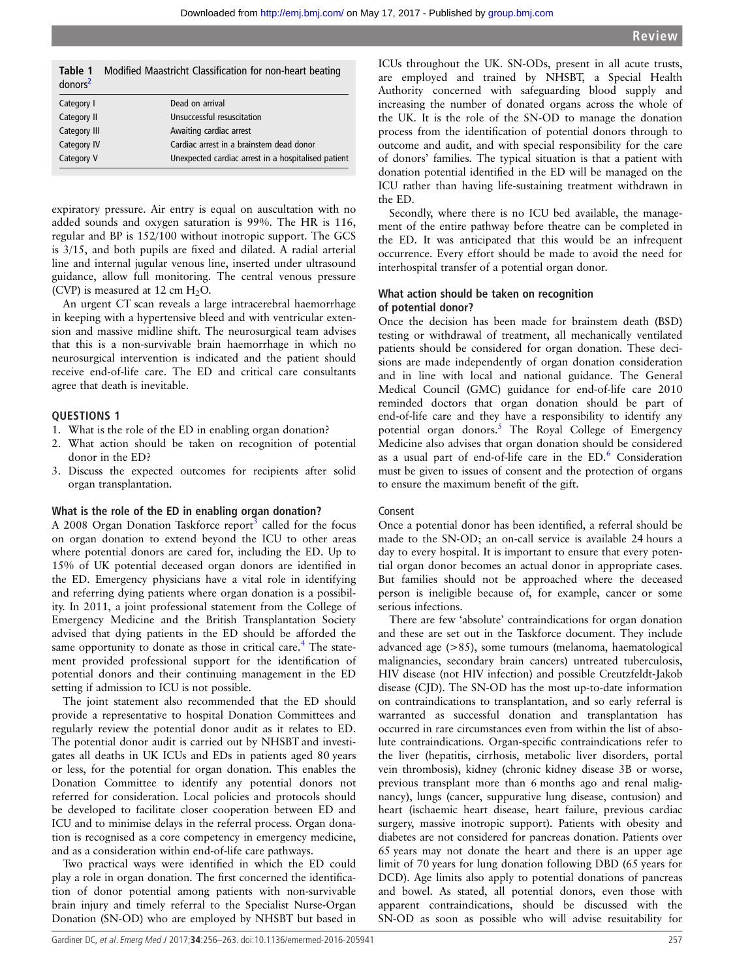| iable i<br>donors <sup>2</sup> | Modified Maastricht Classification for non-neart beating |
|--------------------------------|----------------------------------------------------------|
| Category I                     | Dead on arrival                                          |
| Category II                    | Unsuccessful resuscitation                               |
| Category III                   | Awaiting cardiac arrest                                  |
| Category IV                    | Cardiac arrest in a brainstem dead donor                 |
| Category V                     | Unexpected cardiac arrest in a hospitalised patient      |

<span id="page-1-0"></span>Table 1 Modified Maastricht Classification for non-heart beating

expiratory pressure. Air entry is equal on auscultation with no added sounds and oxygen saturation is 99%. The HR is 116, regular and BP is 152/100 without inotropic support. The GCS is 3/15, and both pupils are fixed and dilated. A radial arterial line and internal jugular venous line, inserted under ultrasound guidance, allow full monitoring. The central venous pressure (CVP) is measured at  $12 \text{ cm H}_2\text{O}$ .

An urgent CT scan reveals a large intracerebral haemorrhage in keeping with a hypertensive bleed and with ventricular extension and massive midline shift. The neurosurgical team advises that this is a non-survivable brain haemorrhage in which no neurosurgical intervention is indicated and the patient should receive end-of-life care. The ED and critical care consultants agree that death is inevitable.

#### QUESTIONS 1

- 1. What is the role of the ED in enabling organ donation?
- 2. What action should be taken on recognition of potential donor in the ED?
- 3. Discuss the expected outcomes for recipients after solid organ transplantation.

#### What is the role of the ED in enabling organ donation?

A 2008 Organ Donation Taskforce report<sup>3</sup> called for the focus on organ donation to extend beyond the ICU to other areas where potential donors are cared for, including the ED. Up to 15% of UK potential deceased organ donors are identified in the ED. Emergency physicians have a vital role in identifying and referring dying patients where organ donation is a possibility. In 2011, a joint professional statement from the College of Emergency Medicine and the British Transplantation Society advised that dying patients in the ED should be afforded the same opportunity to donate as those in critical care.<sup>[4](#page-7-0)</sup> The statement provided professional support for the identification of potential donors and their continuing management in the ED setting if admission to ICU is not possible.

The joint statement also recommended that the ED should provide a representative to hospital Donation Committees and regularly review the potential donor audit as it relates to ED. The potential donor audit is carried out by NHSBT and investigates all deaths in UK ICUs and EDs in patients aged 80 years or less, for the potential for organ donation. This enables the Donation Committee to identify any potential donors not referred for consideration. Local policies and protocols should be developed to facilitate closer cooperation between ED and ICU and to minimise delays in the referral process. Organ donation is recognised as a core competency in emergency medicine, and as a consideration within end-of-life care pathways.

Two practical ways were identified in which the ED could play a role in organ donation. The first concerned the identification of donor potential among patients with non-survivable brain injury and timely referral to the Specialist Nurse-Organ Donation (SN-OD) who are employed by NHSBT but based in

ICUs throughout the UK. SN-ODs, present in all acute trusts, are employed and trained by NHSBT, a Special Health Authority concerned with safeguarding blood supply and increasing the number of donated organs across the whole of the UK. It is the role of the SN-OD to manage the donation process from the identification of potential donors through to outcome and audit, and with special responsibility for the care of donors' families. The typical situation is that a patient with donation potential identified in the ED will be managed on the ICU rather than having life-sustaining treatment withdrawn in the ED.

Secondly, where there is no ICU bed available, the management of the entire pathway before theatre can be completed in the ED. It was anticipated that this would be an infrequent occurrence. Every effort should be made to avoid the need for interhospital transfer of a potential organ donor.

#### What action should be taken on recognition of potential donor?

Once the decision has been made for brainstem death (BSD) testing or withdrawal of treatment, all mechanically ventilated patients should be considered for organ donation. These decisions are made independently of organ donation consideration and in line with local and national guidance. The General Medical Council (GMC) guidance for end-of-life care 2010 reminded doctors that organ donation should be part of end-of-life care and they have a responsibility to identify any potential organ donors.<sup>[5](#page-7-0)</sup> The Royal College of Emergency Medicine also advises that organ donation should be considered as a usual part of end-of-life care in the ED.<sup>[6](#page-7-0)</sup> Consideration must be given to issues of consent and the protection of organs to ensure the maximum benefit of the gift.

#### Consent

Once a potential donor has been identified, a referral should be made to the SN-OD; an on-call service is available 24 hours a day to every hospital. It is important to ensure that every potential organ donor becomes an actual donor in appropriate cases. But families should not be approached where the deceased person is ineligible because of, for example, cancer or some serious infections.

There are few 'absolute' contraindications for organ donation and these are set out in the Taskforce document. They include advanced age (>85), some tumours (melanoma, haematological malignancies, secondary brain cancers) untreated tuberculosis, HIV disease (not HIV infection) and possible Creutzfeldt-Jakob disease (CJD). The SN-OD has the most up-to-date information on contraindications to transplantation, and so early referral is warranted as successful donation and transplantation has occurred in rare circumstances even from within the list of absolute contraindications. Organ-specific contraindications refer to the liver (hepatitis, cirrhosis, metabolic liver disorders, portal vein thrombosis), kidney (chronic kidney disease 3B or worse, previous transplant more than 6 months ago and renal malignancy), lungs (cancer, suppurative lung disease, contusion) and heart (ischaemic heart disease, heart failure, previous cardiac surgery, massive inotropic support). Patients with obesity and diabetes are not considered for pancreas donation. Patients over 65 years may not donate the heart and there is an upper age limit of 70 years for lung donation following DBD (65 years for DCD). Age limits also apply to potential donations of pancreas and bowel. As stated, all potential donors, even those with apparent contraindications, should be discussed with the SN-OD as soon as possible who will advise resuitability for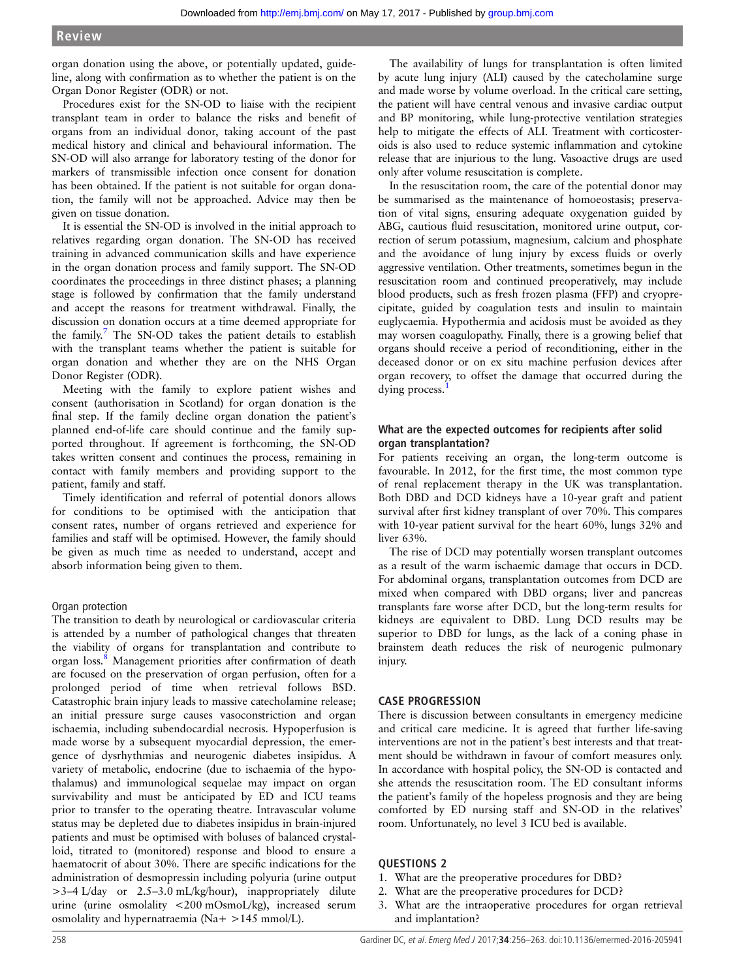organ donation using the above, or potentially updated, guideline, along with confirmation as to whether the patient is on the Organ Donor Register (ODR) or not.

Procedures exist for the SN-OD to liaise with the recipient transplant team in order to balance the risks and benefit of organs from an individual donor, taking account of the past medical history and clinical and behavioural information. The SN-OD will also arrange for laboratory testing of the donor for markers of transmissible infection once consent for donation has been obtained. If the patient is not suitable for organ donation, the family will not be approached. Advice may then be given on tissue donation.

It is essential the SN-OD is involved in the initial approach to relatives regarding organ donation. The SN-OD has received training in advanced communication skills and have experience in the organ donation process and family support. The SN-OD coordinates the proceedings in three distinct phases; a planning stage is followed by confirmation that the family understand and accept the reasons for treatment withdrawal. Finally, the discussion on donation occurs at a time deemed appropriate for the family.<sup>[7](#page-7-0)</sup> The SN-OD takes the patient details to establish with the transplant teams whether the patient is suitable for organ donation and whether they are on the NHS Organ Donor Register (ODR).

Meeting with the family to explore patient wishes and consent (authorisation in Scotland) for organ donation is the final step. If the family decline organ donation the patient's planned end-of-life care should continue and the family supported throughout. If agreement is forthcoming, the SN-OD takes written consent and continues the process, remaining in contact with family members and providing support to the patient, family and staff.

Timely identification and referral of potential donors allows for conditions to be optimised with the anticipation that consent rates, number of organs retrieved and experience for families and staff will be optimised. However, the family should be given as much time as needed to understand, accept and absorb information being given to them.

#### Organ protection

The transition to death by neurological or cardiovascular criteria is attended by a number of pathological changes that threaten the viability of organs for transplantation and contribute to organ loss.<sup>[8](#page-7-0)</sup> Management priorities after confirmation of death are focused on the preservation of organ perfusion, often for a prolonged period of time when retrieval follows BSD. Catastrophic brain injury leads to massive catecholamine release; an initial pressure surge causes vasoconstriction and organ ischaemia, including subendocardial necrosis. Hypoperfusion is made worse by a subsequent myocardial depression, the emergence of dysrhythmias and neurogenic diabetes insipidus. A variety of metabolic, endocrine (due to ischaemia of the hypothalamus) and immunological sequelae may impact on organ survivability and must be anticipated by ED and ICU teams prior to transfer to the operating theatre. Intravascular volume status may be depleted due to diabetes insipidus in brain-injured patients and must be optimised with boluses of balanced crystalloid, titrated to (monitored) response and blood to ensure a haematocrit of about 30%. There are specific indications for the administration of desmopressin including polyuria (urine output >3–4 L/day or 2.5–3.0 mL/kg/hour), inappropriately dilute urine (urine osmolality <200 mOsmoL/kg), increased serum osmolality and hypernatraemia (Na+ >145 mmol/L).

The availability of lungs for transplantation is often limited by acute lung injury (ALI) caused by the catecholamine surge and made worse by volume overload. In the critical care setting, the patient will have central venous and invasive cardiac output and BP monitoring, while lung-protective ventilation strategies help to mitigate the effects of ALI. Treatment with corticosteroids is also used to reduce systemic inflammation and cytokine release that are injurious to the lung. Vasoactive drugs are used only after volume resuscitation is complete.

In the resuscitation room, the care of the potential donor may be summarised as the maintenance of homoeostasis; preservation of vital signs, ensuring adequate oxygenation guided by ABG, cautious fluid resuscitation, monitored urine output, correction of serum potassium, magnesium, calcium and phosphate and the avoidance of lung injury by excess fluids or overly aggressive ventilation. Other treatments, sometimes begun in the resuscitation room and continued preoperatively, may include blood products, such as fresh frozen plasma (FFP) and cryoprecipitate, guided by coagulation tests and insulin to maintain euglycaemia. Hypothermia and acidosis must be avoided as they may worsen coagulopathy. Finally, there is a growing belief that organs should receive a period of reconditioning, either in the deceased donor or on ex situ machine perfusion devices after organ recovery, to offset the damage that occurred during the dying process.

# What are the expected outcomes for recipients after solid organ transplantation?

For patients receiving an organ, the long-term outcome is favourable. In 2012, for the first time, the most common type of renal replacement therapy in the UK was transplantation. Both DBD and DCD kidneys have a 10-year graft and patient survival after first kidney transplant of over 70%. This compares with 10-year patient survival for the heart 60%, lungs 32% and liver 63%.

The rise of DCD may potentially worsen transplant outcomes as a result of the warm ischaemic damage that occurs in DCD. For abdominal organs, transplantation outcomes from DCD are mixed when compared with DBD organs; liver and pancreas transplants fare worse after DCD, but the long-term results for kidneys are equivalent to DBD. Lung DCD results may be superior to DBD for lungs, as the lack of a coning phase in brainstem death reduces the risk of neurogenic pulmonary injury.

# CASE PROGRESSION

There is discussion between consultants in emergency medicine and critical care medicine. It is agreed that further life-saving interventions are not in the patient's best interests and that treatment should be withdrawn in favour of comfort measures only. In accordance with hospital policy, the SN-OD is contacted and she attends the resuscitation room. The ED consultant informs the patient's family of the hopeless prognosis and they are being comforted by ED nursing staff and SN-OD in the relatives' room. Unfortunately, no level 3 ICU bed is available.

#### QUESTIONS 2

- 1. What are the preoperative procedures for DBD?
- 2. What are the preoperative procedures for DCD?
- 3. What are the intraoperative procedures for organ retrieval and implantation?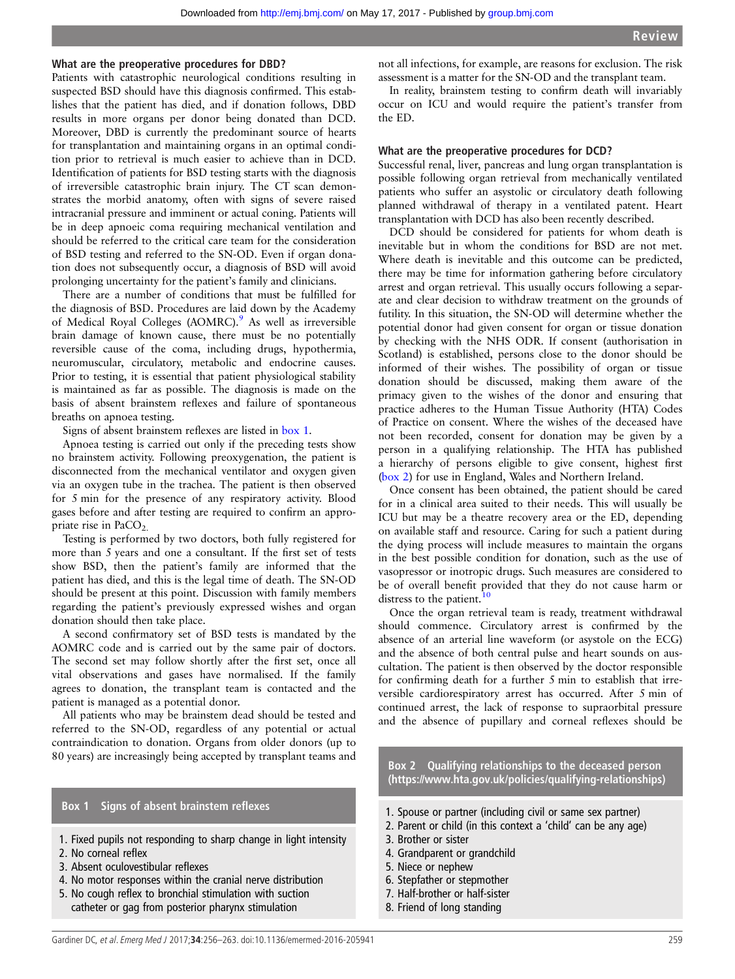#### What are the preoperative procedures for DBD?

Patients with catastrophic neurological conditions resulting in suspected BSD should have this diagnosis confirmed. This establishes that the patient has died, and if donation follows, DBD results in more organs per donor being donated than DCD. Moreover, DBD is currently the predominant source of hearts for transplantation and maintaining organs in an optimal condition prior to retrieval is much easier to achieve than in DCD. Identification of patients for BSD testing starts with the diagnosis of irreversible catastrophic brain injury. The CT scan demonstrates the morbid anatomy, often with signs of severe raised intracranial pressure and imminent or actual coning. Patients will be in deep apnoeic coma requiring mechanical ventilation and should be referred to the critical care team for the consideration of BSD testing and referred to the SN-OD. Even if organ donation does not subsequently occur, a diagnosis of BSD will avoid prolonging uncertainty for the patient's family and clinicians.

There are a number of conditions that must be fulfilled for the diagnosis of BSD. Procedures are laid down by the Academy of Medical Royal Colleges (AOMRC).<sup>[9](#page-7-0)</sup> As well as irreversible brain damage of known cause, there must be no potentially reversible cause of the coma, including drugs, hypothermia, neuromuscular, circulatory, metabolic and endocrine causes. Prior to testing, it is essential that patient physiological stability is maintained as far as possible. The diagnosis is made on the basis of absent brainstem reflexes and failure of spontaneous breaths on apnoea testing.

Signs of absent brainstem reflexes are listed in box 1.

Apnoea testing is carried out only if the preceding tests show no brainstem activity. Following preoxygenation, the patient is disconnected from the mechanical ventilator and oxygen given via an oxygen tube in the trachea. The patient is then observed for 5 min for the presence of any respiratory activity. Blood gases before and after testing are required to confirm an appropriate rise in PaCO<sub>2.</sub>

Testing is performed by two doctors, both fully registered for more than 5 years and one a consultant. If the first set of tests show BSD, then the patient's family are informed that the patient has died, and this is the legal time of death. The SN-OD should be present at this point. Discussion with family members regarding the patient's previously expressed wishes and organ donation should then take place.

A second confirmatory set of BSD tests is mandated by the AOMRC code and is carried out by the same pair of doctors. The second set may follow shortly after the first set, once all vital observations and gases have normalised. If the family agrees to donation, the transplant team is contacted and the patient is managed as a potential donor.

All patients who may be brainstem dead should be tested and referred to the SN-OD, regardless of any potential or actual contraindication to donation. Organs from older donors (up to 80 years) are increasingly being accepted by transplant teams and

#### Box 1 Signs of absent brainstem reflexes

- 1. Fixed pupils not responding to sharp change in light intensity
- 2. No corneal reflex
- 3. Absent oculovestibular reflexes
- 4. No motor responses within the cranial nerve distribution
- 5. No cough reflex to bronchial stimulation with suction catheter or gag from posterior pharynx stimulation

not all infections, for example, are reasons for exclusion. The risk assessment is a matter for the SN-OD and the transplant team.

In reality, brainstem testing to confirm death will invariably occur on ICU and would require the patient's transfer from the ED.

#### What are the preoperative procedures for DCD?

Successful renal, liver, pancreas and lung organ transplantation is possible following organ retrieval from mechanically ventilated patients who suffer an asystolic or circulatory death following planned withdrawal of therapy in a ventilated patent. Heart transplantation with DCD has also been recently described.

DCD should be considered for patients for whom death is inevitable but in whom the conditions for BSD are not met. Where death is inevitable and this outcome can be predicted, there may be time for information gathering before circulatory arrest and organ retrieval. This usually occurs following a separate and clear decision to withdraw treatment on the grounds of futility. In this situation, the SN-OD will determine whether the potential donor had given consent for organ or tissue donation by checking with the NHS ODR. If consent (authorisation in Scotland) is established, persons close to the donor should be informed of their wishes. The possibility of organ or tissue donation should be discussed, making them aware of the primacy given to the wishes of the donor and ensuring that practice adheres to the Human Tissue Authority (HTA) Codes of Practice on consent. Where the wishes of the deceased have not been recorded, consent for donation may be given by a person in a qualifying relationship. The HTA has published a hierarchy of persons eligible to give consent, highest first (box 2) for use in England, Wales and Northern Ireland.

Once consent has been obtained, the patient should be cared for in a clinical area suited to their needs. This will usually be ICU but may be a theatre recovery area or the ED, depending on available staff and resource. Caring for such a patient during the dying process will include measures to maintain the organs in the best possible condition for donation, such as the use of vasopressor or inotropic drugs. Such measures are considered to be of overall benefit provided that they do not cause harm or distress to the patient. $10$ 

Once the organ retrieval team is ready, treatment withdrawal should commence. Circulatory arrest is confirmed by the absence of an arterial line waveform (or asystole on the ECG) and the absence of both central pulse and heart sounds on auscultation. The patient is then observed by the doctor responsible for confirming death for a further 5 min to establish that irreversible cardiorespiratory arrest has occurred. After 5 min of continued arrest, the lack of response to supraorbital pressure and the absence of pupillary and corneal reflexes should be

Box 2 Qualifying relationships to the deceased person (https://www.hta.gov.uk/policies/qualifying-relationships)

- 1. Spouse or partner (including civil or same sex partner)
- 2. Parent or child (in this context a 'child' can be any age)
- 3. Brother or sister
- 4. Grandparent or grandchild
- 5. Niece or nephew
- 6. Stepfather or stepmother
- 7. Half-brother or half-sister
- 8. Friend of long standing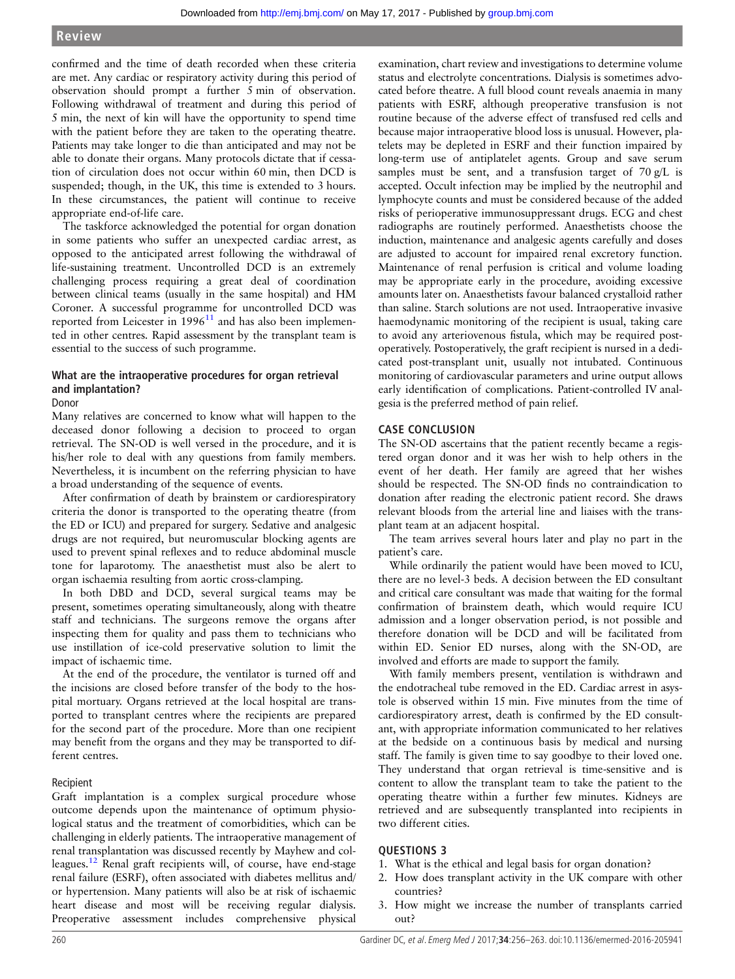confirmed and the time of death recorded when these criteria are met. Any cardiac or respiratory activity during this period of observation should prompt a further 5 min of observation. Following withdrawal of treatment and during this period of 5 min, the next of kin will have the opportunity to spend time with the patient before they are taken to the operating theatre. Patients may take longer to die than anticipated and may not be able to donate their organs. Many protocols dictate that if cessation of circulation does not occur within 60 min, then DCD is suspended; though, in the UK, this time is extended to 3 hours. In these circumstances, the patient will continue to receive appropriate end-of-life care.

The taskforce acknowledged the potential for organ donation in some patients who suffer an unexpected cardiac arrest, as opposed to the anticipated arrest following the withdrawal of life-sustaining treatment. Uncontrolled DCD is an extremely challenging process requiring a great deal of coordination between clinical teams (usually in the same hospital) and HM Coroner. A successful programme for uncontrolled DCD was reported from Leicester in  $1996<sup>11</sup>$  $1996<sup>11</sup>$  $1996<sup>11</sup>$  and has also been implemented in other centres. Rapid assessment by the transplant team is essential to the success of such programme.

# What are the intraoperative procedures for organ retrieval and implantation?

#### Donor

Many relatives are concerned to know what will happen to the deceased donor following a decision to proceed to organ retrieval. The SN-OD is well versed in the procedure, and it is his/her role to deal with any questions from family members. Nevertheless, it is incumbent on the referring physician to have a broad understanding of the sequence of events.

After confirmation of death by brainstem or cardiorespiratory criteria the donor is transported to the operating theatre (from the ED or ICU) and prepared for surgery. Sedative and analgesic drugs are not required, but neuromuscular blocking agents are used to prevent spinal reflexes and to reduce abdominal muscle tone for laparotomy. The anaesthetist must also be alert to organ ischaemia resulting from aortic cross-clamping.

In both DBD and DCD, several surgical teams may be present, sometimes operating simultaneously, along with theatre staff and technicians. The surgeons remove the organs after inspecting them for quality and pass them to technicians who use instillation of ice-cold preservative solution to limit the impact of ischaemic time.

At the end of the procedure, the ventilator is turned off and the incisions are closed before transfer of the body to the hospital mortuary. Organs retrieved at the local hospital are transported to transplant centres where the recipients are prepared for the second part of the procedure. More than one recipient may benefit from the organs and they may be transported to different centres.

#### Recipient

Graft implantation is a complex surgical procedure whose outcome depends upon the maintenance of optimum physiological status and the treatment of comorbidities, which can be challenging in elderly patients. The intraoperative management of renal transplantation was discussed recently by Mayhew and col-leagues.<sup>[12](#page-7-0)</sup> Renal graft recipients will, of course, have end-stage renal failure (ESRF), often associated with diabetes mellitus and/ or hypertension. Many patients will also be at risk of ischaemic heart disease and most will be receiving regular dialysis. Preoperative assessment includes comprehensive physical

examination, chart review and investigations to determine volume status and electrolyte concentrations. Dialysis is sometimes advocated before theatre. A full blood count reveals anaemia in many patients with ESRF, although preoperative transfusion is not routine because of the adverse effect of transfused red cells and because major intraoperative blood loss is unusual. However, platelets may be depleted in ESRF and their function impaired by long-term use of antiplatelet agents. Group and save serum samples must be sent, and a transfusion target of  $70 g/L$  is accepted. Occult infection may be implied by the neutrophil and lymphocyte counts and must be considered because of the added risks of perioperative immunosuppressant drugs. ECG and chest radiographs are routinely performed. Anaesthetists choose the induction, maintenance and analgesic agents carefully and doses are adjusted to account for impaired renal excretory function. Maintenance of renal perfusion is critical and volume loading may be appropriate early in the procedure, avoiding excessive amounts later on. Anaesthetists favour balanced crystalloid rather than saline. Starch solutions are not used. Intraoperative invasive haemodynamic monitoring of the recipient is usual, taking care to avoid any arteriovenous fistula, which may be required postoperatively. Postoperatively, the graft recipient is nursed in a dedicated post-transplant unit, usually not intubated. Continuous monitoring of cardiovascular parameters and urine output allows early identification of complications. Patient-controlled IV analgesia is the preferred method of pain relief.

#### CASE CONCLUSION

The SN-OD ascertains that the patient recently became a registered organ donor and it was her wish to help others in the event of her death. Her family are agreed that her wishes should be respected. The SN-OD finds no contraindication to donation after reading the electronic patient record. She draws relevant bloods from the arterial line and liaises with the transplant team at an adjacent hospital.

The team arrives several hours later and play no part in the patient's care.

While ordinarily the patient would have been moved to ICU, there are no level-3 beds. A decision between the ED consultant and critical care consultant was made that waiting for the formal confirmation of brainstem death, which would require ICU admission and a longer observation period, is not possible and therefore donation will be DCD and will be facilitated from within ED. Senior ED nurses, along with the SN-OD, are involved and efforts are made to support the family.

With family members present, ventilation is withdrawn and the endotracheal tube removed in the ED. Cardiac arrest in asystole is observed within 15 min. Five minutes from the time of cardiorespiratory arrest, death is confirmed by the ED consultant, with appropriate information communicated to her relatives at the bedside on a continuous basis by medical and nursing staff. The family is given time to say goodbye to their loved one. They understand that organ retrieval is time-sensitive and is content to allow the transplant team to take the patient to the operating theatre within a further few minutes. Kidneys are retrieved and are subsequently transplanted into recipients in two different cities.

#### QUESTIONS 3

- 1. What is the ethical and legal basis for organ donation?
- 2. How does transplant activity in the UK compare with other countries?
- 3. How might we increase the number of transplants carried out?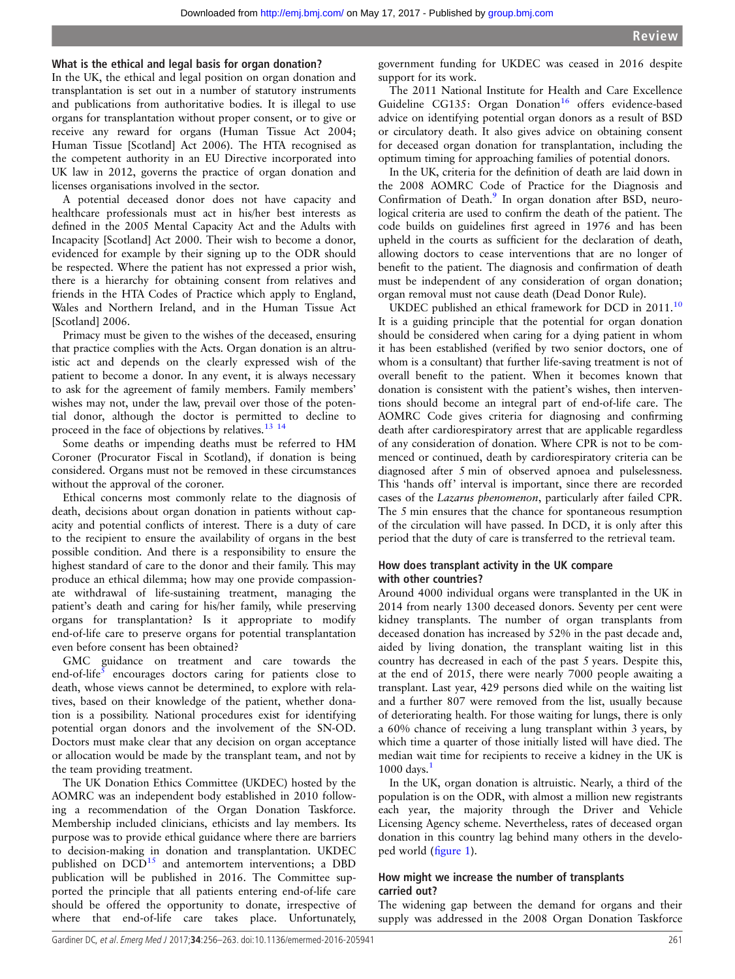### What is the ethical and legal basis for organ donation?

In the UK, the ethical and legal position on organ donation and transplantation is set out in a number of statutory instruments and publications from authoritative bodies. It is illegal to use organs for transplantation without proper consent, or to give or receive any reward for organs (Human Tissue Act 2004; Human Tissue [Scotland] Act 2006). The HTA recognised as the competent authority in an EU Directive incorporated into UK law in 2012, governs the practice of organ donation and licenses organisations involved in the sector.

A potential deceased donor does not have capacity and healthcare professionals must act in his/her best interests as defined in the 2005 Mental Capacity Act and the Adults with Incapacity [Scotland] Act 2000. Their wish to become a donor, evidenced for example by their signing up to the ODR should be respected. Where the patient has not expressed a prior wish, there is a hierarchy for obtaining consent from relatives and friends in the HTA Codes of Practice which apply to England, Wales and Northern Ireland, and in the Human Tissue Act [Scotland] 2006.

Primacy must be given to the wishes of the deceased, ensuring that practice complies with the Acts. Organ donation is an altruistic act and depends on the clearly expressed wish of the patient to become a donor. In any event, it is always necessary to ask for the agreement of family members. Family members' wishes may not, under the law, prevail over those of the potential donor, although the doctor is permitted to decline to proceed in the face of objections by relatives.<sup>13</sup> <sup>14</sup>

Some deaths or impending deaths must be referred to HM Coroner (Procurator Fiscal in Scotland), if donation is being considered. Organs must not be removed in these circumstances without the approval of the coroner.

Ethical concerns most commonly relate to the diagnosis of death, decisions about organ donation in patients without capacity and potential conflicts of interest. There is a duty of care to the recipient to ensure the availability of organs in the best possible condition. And there is a responsibility to ensure the highest standard of care to the donor and their family. This may produce an ethical dilemma; how may one provide compassionate withdrawal of life-sustaining treatment, managing the patient's death and caring for his/her family, while preserving organs for transplantation? Is it appropriate to modify end-of-life care to preserve organs for potential transplantation even before consent has been obtained?

GMC guidance on treatment and care towards the end-of-life<sup>[5](#page-7-0)</sup> encourages doctors caring for patients close to death, whose views cannot be determined, to explore with relatives, based on their knowledge of the patient, whether donation is a possibility. National procedures exist for identifying potential organ donors and the involvement of the SN-OD. Doctors must make clear that any decision on organ acceptance or allocation would be made by the transplant team, and not by the team providing treatment.

The UK Donation Ethics Committee (UKDEC) hosted by the AOMRC was an independent body established in 2010 following a recommendation of the Organ Donation Taskforce. Membership included clinicians, ethicists and lay members. Its purpose was to provide ethical guidance where there are barriers to decision-making in donation and transplantation. UKDEC published on  $DCD<sup>15</sup>$  and antemortem interventions; a DBD publication will be published in 2016. The Committee supported the principle that all patients entering end-of-life care should be offered the opportunity to donate, irrespective of where that end-of-life care takes place. Unfortunately,

government funding for UKDEC was ceased in 2016 despite support for its work.

The 2011 National Institute for Health and Care Excellence Guideline CG135: Organ Donation<sup>16</sup> offers evidence-based advice on identifying potential organ donors as a result of BSD or circulatory death. It also gives advice on obtaining consent for deceased organ donation for transplantation, including the optimum timing for approaching families of potential donors.

In the UK, criteria for the definition of death are laid down in the 2008 AOMRC Code of Practice for the Diagnosis and Confirmation of Death.<sup>9</sup> In organ donation after BSD, neurological criteria are used to confirm the death of the patient. The code builds on guidelines first agreed in 1976 and has been upheld in the courts as sufficient for the declaration of death, allowing doctors to cease interventions that are no longer of benefit to the patient. The diagnosis and confirmation of death must be independent of any consideration of organ donation; organ removal must not cause death (Dead Donor Rule).

UKDEC published an ethical framework for DCD in 2011.<sup>[10](#page-7-0)</sup> It is a guiding principle that the potential for organ donation should be considered when caring for a dying patient in whom it has been established (verified by two senior doctors, one of whom is a consultant) that further life-saving treatment is not of overall benefit to the patient. When it becomes known that donation is consistent with the patient's wishes, then interventions should become an integral part of end-of-life care. The AOMRC Code gives criteria for diagnosing and confirming death after cardiorespiratory arrest that are applicable regardless of any consideration of donation. Where CPR is not to be commenced or continued, death by cardiorespiratory criteria can be diagnosed after 5 min of observed apnoea and pulselessness. This 'hands off' interval is important, since there are recorded cases of the Lazarus phenomenon, particularly after failed CPR. The 5 min ensures that the chance for spontaneous resumption of the circulation will have passed. In DCD, it is only after this period that the duty of care is transferred to the retrieval team.

# How does transplant activity in the UK compare with other countries?

Around 4000 individual organs were transplanted in the UK in 2014 from nearly 1300 deceased donors. Seventy per cent were kidney transplants. The number of organ transplants from deceased donation has increased by 52% in the past decade and, aided by living donation, the transplant waiting list in this country has decreased in each of the past 5 years. Despite this, at the end of 2015, there were nearly 7000 people awaiting a transplant. Last year, 429 persons died while on the waiting list and a further 807 were removed from the list, usually because of deteriorating health. For those waiting for lungs, there is only a 60% chance of receiving a lung transplant within 3 years, by which time a quarter of those initially listed will have died. The median wait time for recipients to receive a kidney in the UK is  $1000 \text{ days.}^1$  $1000 \text{ days.}^1$ 

In the UK, organ donation is altruistic. Nearly, a third of the population is on the ODR, with almost a million new registrants each year, the majority through the Driver and Vehicle Licensing Agency scheme. Nevertheless, rates of deceased organ donation in this country lag behind many others in the developed world (fi[gure 1\)](#page-6-0).

# How might we increase the number of transplants carried out?

The widening gap between the demand for organs and their supply was addressed in the 2008 Organ Donation Taskforce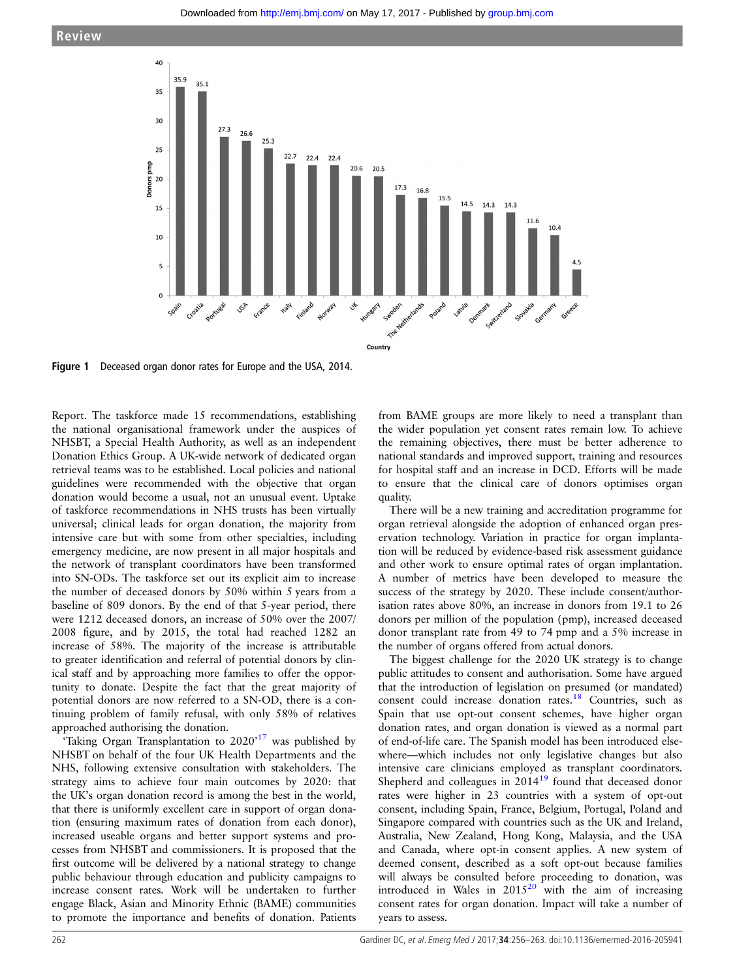<span id="page-6-0"></span>

Figure 1 Deceased organ donor rates for Europe and the USA, 2014.

Report. The taskforce made 15 recommendations, establishing the national organisational framework under the auspices of NHSBT, a Special Health Authority, as well as an independent Donation Ethics Group. A UK-wide network of dedicated organ retrieval teams was to be established. Local policies and national guidelines were recommended with the objective that organ donation would become a usual, not an unusual event. Uptake of taskforce recommendations in NHS trusts has been virtually universal; clinical leads for organ donation, the majority from intensive care but with some from other specialties, including emergency medicine, are now present in all major hospitals and the network of transplant coordinators have been transformed into SN-ODs. The taskforce set out its explicit aim to increase the number of deceased donors by 50% within 5 years from a baseline of 809 donors. By the end of that 5-year period, there were 1212 deceased donors, an increase of 50% over the 2007/ 2008 figure, and by 2015, the total had reached 1282 an increase of 58%. The majority of the increase is attributable to greater identification and referral of potential donors by clinical staff and by approaching more families to offer the opportunity to donate. Despite the fact that the great majority of potential donors are now referred to a SN-OD, there is a continuing problem of family refusal, with only 58% of relatives approached authorising the donation.

'Taking Organ Transplantation to  $2020^{17}$  $2020^{17}$  $2020^{17}$  was published by NHSBT on behalf of the four UK Health Departments and the NHS, following extensive consultation with stakeholders. The strategy aims to achieve four main outcomes by 2020: that the UK's organ donation record is among the best in the world, that there is uniformly excellent care in support of organ donation (ensuring maximum rates of donation from each donor), increased useable organs and better support systems and processes from NHSBT and commissioners. It is proposed that the first outcome will be delivered by a national strategy to change public behaviour through education and publicity campaigns to increase consent rates. Work will be undertaken to further engage Black, Asian and Minority Ethnic (BAME) communities to promote the importance and benefits of donation. Patients

from BAME groups are more likely to need a transplant than the wider population yet consent rates remain low. To achieve the remaining objectives, there must be better adherence to national standards and improved support, training and resources for hospital staff and an increase in DCD. Efforts will be made to ensure that the clinical care of donors optimises organ quality.

There will be a new training and accreditation programme for organ retrieval alongside the adoption of enhanced organ preservation technology. Variation in practice for organ implantation will be reduced by evidence-based risk assessment guidance and other work to ensure optimal rates of organ implantation. A number of metrics have been developed to measure the success of the strategy by 2020. These include consent/authorisation rates above 80%, an increase in donors from 19.1 to 26 donors per million of the population (pmp), increased deceased donor transplant rate from 49 to 74 pmp and a 5% increase in the number of organs offered from actual donors.

The biggest challenge for the 2020 UK strategy is to change public attitudes to consent and authorisation. Some have argued that the introduction of legislation on presumed (or mandated) consent could increase donation rates.[18](#page-7-0) Countries, such as Spain that use opt-out consent schemes, have higher organ donation rates, and organ donation is viewed as a normal part of end-of-life care. The Spanish model has been introduced elsewhere—which includes not only legislative changes but also intensive care clinicians employed as transplant coordinators. Shepherd and colleagues in 2014<sup>19</sup> found that deceased donor rates were higher in 23 countries with a system of opt-out consent, including Spain, France, Belgium, Portugal, Poland and Singapore compared with countries such as the UK and Ireland, Australia, New Zealand, Hong Kong, Malaysia, and the USA and Canada, where opt-in consent applies. A new system of deemed consent, described as a soft opt-out because families will always be consulted before proceeding to donation, was introduced in Wales in  $2015^{20}$  $2015^{20}$  with the aim of increasing consent rates for organ donation. Impact will take a number of years to assess.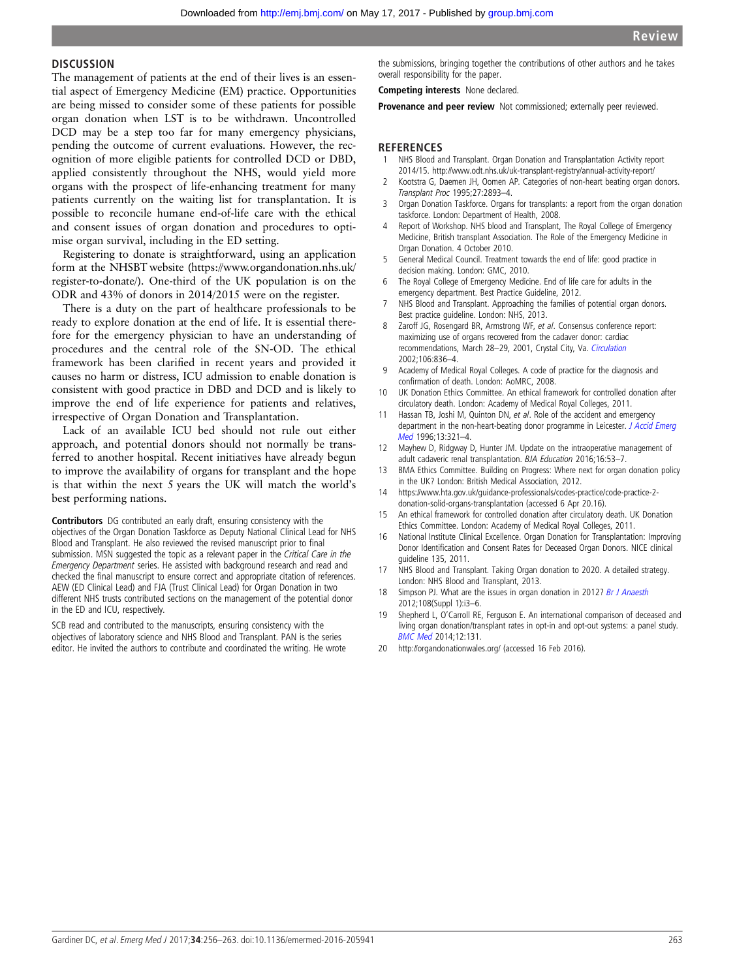#### <span id="page-7-0"></span>**DISCUSSION**

The management of patients at the end of their lives is an essential aspect of Emergency Medicine (EM) practice. Opportunities are being missed to consider some of these patients for possible organ donation when LST is to be withdrawn. Uncontrolled DCD may be a step too far for many emergency physicians, pending the outcome of current evaluations. However, the recognition of more eligible patients for controlled DCD or DBD, applied consistently throughout the NHS, would yield more organs with the prospect of life-enhancing treatment for many patients currently on the waiting list for transplantation. It is possible to reconcile humane end-of-life care with the ethical and consent issues of organ donation and procedures to optimise organ survival, including in the ED setting.

Registering to donate is straightforward, using an application form at the NHSBT website [\(https://www.organdonation.nhs.uk/](https://www.organdonation.nhs.uk/register-to-donate/) [register-to-donate/\)](https://www.organdonation.nhs.uk/register-to-donate/). One-third of the UK population is on the ODR and 43% of donors in 2014/2015 were on the register.

There is a duty on the part of healthcare professionals to be ready to explore donation at the end of life. It is essential therefore for the emergency physician to have an understanding of procedures and the central role of the SN-OD. The ethical framework has been clarified in recent years and provided it causes no harm or distress, ICU admission to enable donation is consistent with good practice in DBD and DCD and is likely to improve the end of life experience for patients and relatives, irrespective of Organ Donation and Transplantation.

Lack of an available ICU bed should not rule out either approach, and potential donors should not normally be transferred to another hospital. Recent initiatives have already begun to improve the availability of organs for transplant and the hope is that within the next 5 years the UK will match the world's best performing nations.

Contributors DG contributed an early draft, ensuring consistency with the objectives of the Organ Donation Taskforce as Deputy National Clinical Lead for NHS Blood and Transplant. He also reviewed the revised manuscript prior to final submission. MSN suggested the topic as a relevant paper in the Critical Care in the Emergency Department series. He assisted with background research and read and checked the final manuscript to ensure correct and appropriate citation of references. AEW (ED Clinical Lead) and FJA (Trust Clinical Lead) for Organ Donation in two different NHS trusts contributed sections on the management of the potential donor in the ED and ICU, respectively.

SCB read and contributed to the manuscripts, ensuring consistency with the objectives of laboratory science and NHS Blood and Transplant. PAN is the series editor. He invited the authors to contribute and coordinated the writing. He wrote the submissions, bringing together the contributions of other authors and he takes overall responsibility for the paper.

Competing interests None declared.

Provenance and peer review Not commissioned; externally peer reviewed.

#### **REFERENCES**

- 1 NHS Blood and Transplant. Organ Donation and Transplantation Activity report 2014/15.<http://www.odt.nhs.uk/uk-transplant-registry/annual-activity-report/>
- 2 Kootstra G, Daemen JH, Oomen AP. Categories of non-heart beating organ donors. Transplant Proc 1995;27:2893–4.
- 3 Organ Donation Taskforce. Organs for transplants: a report from the organ donation taskforce. London: Department of Health, 2008.
- 4 Report of Workshop. NHS blood and Transplant, The Royal College of Emergency Medicine, British transplant Association. The Role of the Emergency Medicine in Organ Donation. 4 October 2010.
- 5 General Medical Council. Treatment towards the end of life: good practice in decision making. London: GMC, 2010.
- 6 The Royal College of Emergency Medicine. End of life care for adults in the emergency department. Best Practice Guideline, 2012.
- NHS Blood and Transplant. Approaching the families of potential organ donors. Best practice guideline. London: NHS, 2013.
- Zaroff JG, Rosengard BR, Armstrong WF, et al. Consensus conference report: maximizing use of organs recovered from the cadaver donor: cardiac recommendations, March 28–29, 2001, Crystal City, Va. [Circulation](http://dx.doi.org/10.1161/01.CIR.0000025587.40373.75) 2002;106:836–4.
- 9 Academy of Medical Royal Colleges. A code of practice for the diagnosis and confirmation of death. London: AoMRC, 2008.
- 10 UK Donation Ethics Committee. An ethical framework for controlled donation after circulatory death. London: Academy of Medical Royal Colleges, 2011.
- 11 Hassan TB, Joshi M, Quinton DN, et al. Role of the accident and emergency department in the non-heart-beating donor programme in Leicester. [J Accid Emerg](http://dx.doi.org/10.1136/emj.13.5.321) [Med](http://dx.doi.org/10.1136/emj.13.5.321) 1996;13:321–4.
- 12 Mayhew D, Ridgway D, Hunter JM. Update on the intraoperative management of adult cadaveric renal transplantation. BJA Education 2016;16:53–7.
- 13 BMA Ethics Committee. Building on Progress: Where next for organ donation policy in the UK? London: British Medical Association, 2012.
- 14 [https://www.hta.gov.uk/guidance-professionals/codes-practice/code-practice-2](https://www.hta.gov.uk/guidance-professionals/codes-practice/code-practice-2-donation-solid-organs-transplantation) [donation-solid-organs-transplantation](https://www.hta.gov.uk/guidance-professionals/codes-practice/code-practice-2-donation-solid-organs-transplantation) (accessed 6 Apr 20.16).
- 15 An ethical framework for controlled donation after circulatory death. UK Donation Ethics Committee. London: Academy of Medical Royal Colleges, 2011.
- 16 National Institute Clinical Excellence. Organ Donation for Transplantation: Improving Donor Identification and Consent Rates for Deceased Organ Donors. NICE clinical guideline 135, 2011.
- 17 NHS Blood and Transplant. Taking Organ donation to 2020. A detailed strategy. London: NHS Blood and Transplant, 2013.
- 18 Simpson PJ. What are the issues in organ donation in 2012? [Br J Anaesth](http://dx.doi.org/10.1093/bja/aer352) 2012;108(Suppl 1):i3–6.
- 19 Shepherd L, O'Carroll RE, Ferguson E. An international comparison of deceased and living organ donation/transplant rates in opt-in and opt-out systems: a panel study. [BMC Med](http://dx.doi.org/10.1186/s12916-014-0131-4) 2014;12:131.
- 20<http://organdonationwales.org/> (accessed 16 Feb 2016).